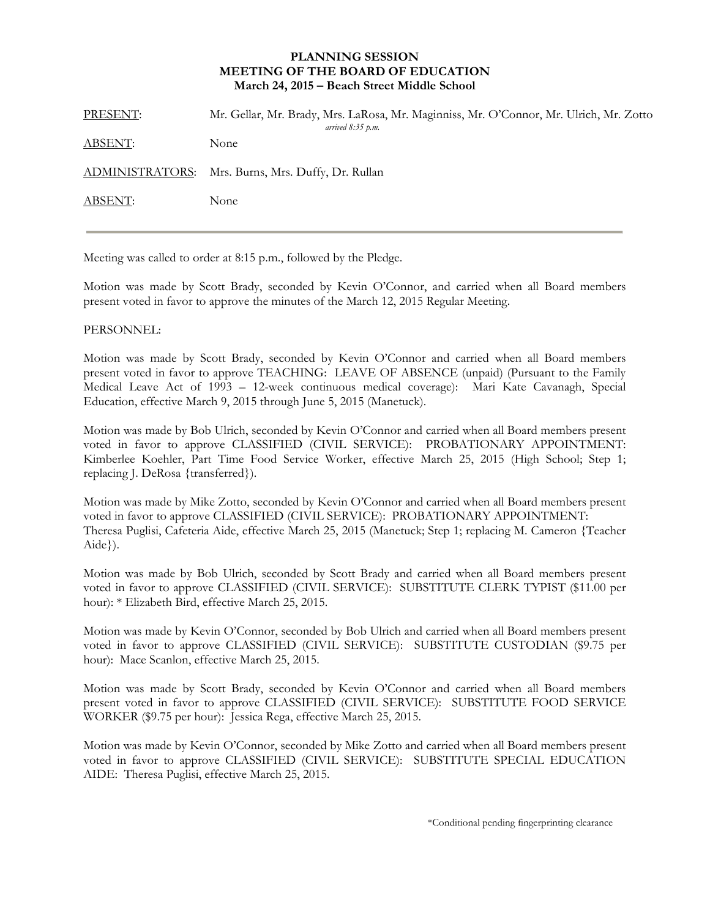## **PLANNING SESSION MEETING OF THE BOARD OF EDUCATION March 24, 2015 – Beach Street Middle School**

| PRESENT:        | Mr. Gellar, Mr. Brady, Mrs. LaRosa, Mr. Maginniss, Mr. O'Connor, Mr. Ulrich, Mr. Zotto<br>arrived $8:35$ p.m. |
|-----------------|---------------------------------------------------------------------------------------------------------------|
| <b>ABSENT:</b>  | None                                                                                                          |
| ADMINISTRATORS: | Mrs. Burns, Mrs. Duffy, Dr. Rullan                                                                            |
| ABSENT:         | None                                                                                                          |
|                 |                                                                                                               |

Meeting was called to order at 8:15 p.m., followed by the Pledge.

Motion was made by Scott Brady, seconded by Kevin O'Connor, and carried when all Board members present voted in favor to approve the minutes of the March 12, 2015 Regular Meeting.

## PERSONNEL:

Motion was made by Scott Brady, seconded by Kevin O'Connor and carried when all Board members present voted in favor to approve TEACHING: LEAVE OF ABSENCE (unpaid) (Pursuant to the Family Medical Leave Act of 1993 – 12-week continuous medical coverage): Mari Kate Cavanagh, Special Education, effective March 9, 2015 through June 5, 2015 (Manetuck).

Motion was made by Bob Ulrich, seconded by Kevin O'Connor and carried when all Board members present voted in favor to approve CLASSIFIED (CIVIL SERVICE): PROBATIONARY APPOINTMENT: Kimberlee Koehler, Part Time Food Service Worker, effective March 25, 2015 (High School; Step 1; replacing J. DeRosa {transferred}).

Motion was made by Mike Zotto, seconded by Kevin O'Connor and carried when all Board members present voted in favor to approve CLASSIFIED (CIVIL SERVICE): PROBATIONARY APPOINTMENT: Theresa Puglisi, Cafeteria Aide, effective March 25, 2015 (Manetuck; Step 1; replacing M. Cameron {Teacher Aide}).

Motion was made by Bob Ulrich, seconded by Scott Brady and carried when all Board members present voted in favor to approve CLASSIFIED (CIVIL SERVICE): SUBSTITUTE CLERK TYPIST (\$11.00 per hour): \* Elizabeth Bird, effective March 25, 2015.

Motion was made by Kevin O'Connor, seconded by Bob Ulrich and carried when all Board members present voted in favor to approve CLASSIFIED (CIVIL SERVICE): SUBSTITUTE CUSTODIAN (\$9.75 per hour): Mace Scanlon, effective March 25, 2015.

Motion was made by Scott Brady, seconded by Kevin O'Connor and carried when all Board members present voted in favor to approve CLASSIFIED (CIVIL SERVICE): SUBSTITUTE FOOD SERVICE WORKER (\$9.75 per hour): Jessica Rega, effective March 25, 2015.

Motion was made by Kevin O'Connor, seconded by Mike Zotto and carried when all Board members present voted in favor to approve CLASSIFIED (CIVIL SERVICE): SUBSTITUTE SPECIAL EDUCATION AIDE: Theresa Puglisi, effective March 25, 2015.